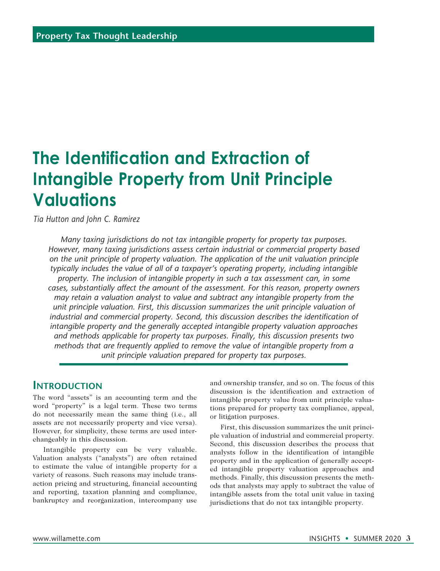# **The Identification and Extraction of Intangible Property from Unit Principle Valuations**

*Tia Hutton and John C. Ramirez*

*Many taxing jurisdictions do not tax intangible property for property tax purposes. However, many taxing jurisdictions assess certain industrial or commercial property based on the unit principle of property valuation. The application of the unit valuation principle typically includes the value of all of a taxpayer's operating property, including intangible property. The inclusion of intangible property in such a tax assessment can, in some cases, substantially affect the amount of the assessment. For this reason, property owners may retain a valuation analyst to value and subtract any intangible property from the unit principle valuation. First, this discussion summarizes the unit principle valuation of industrial and commercial property. Second, this discussion describes the identification of intangible property and the generally accepted intangible property valuation approaches and methods applicable for property tax purposes. Finally, this discussion presents two methods that are frequently applied to remove the value of intangible property from a unit principle valuation prepared for property tax purposes.*

## **Introduction**

The word "assets" is an accounting term and the word "property" is a legal term. These two terms do not necessarily mean the same thing (i.e., all assets are not necessarily property and vice versa). However, for simplicity, these terms are used interchangeably in this discussion.

Intangible property can be very valuable. Valuation analysts ("analysts") are often retained to estimate the value of intangible property for a variety of reasons. Such reasons may include transaction pricing and structuring, financial accounting and reporting, taxation planning and compliance, bankruptcy and reorganization, intercompany use

and ownership transfer, and so on. The focus of this discussion is the identification and extraction of intangible property value from unit principle valuations prepared for property tax compliance, appeal, or litigation purposes.

First, this discussion summarizes the unit principle valuation of industrial and commercial property. Second, this discussion describes the process that analysts follow in the identification of intangible property and in the application of generally accepted intangible property valuation approaches and methods. Finally, this discussion presents the methods that analysts may apply to subtract the value of intangible assets from the total unit value in taxing jurisdictions that do not tax intangible property.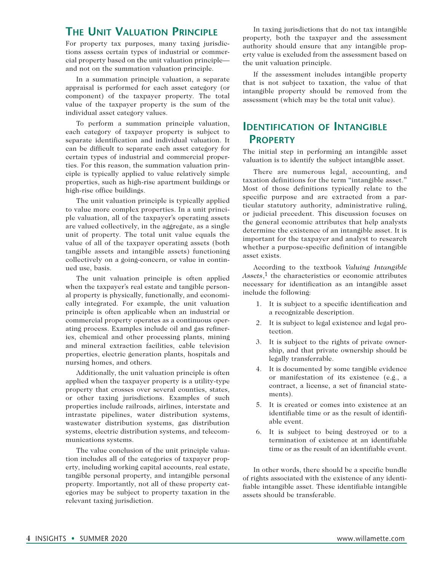# **The Unit Valuation Principle**

For property tax purposes, many taxing jurisdictions assess certain types of industrial or commercial property based on the unit valuation principle and not on the summation valuation principle.

In a summation principle valuation, a separate appraisal is performed for each asset category (or component) of the taxpayer property. The total value of the taxpayer property is the sum of the individual asset category values.

To perform a summation principle valuation, each category of taxpayer property is subject to separate identification and individual valuation. It can be difficult to separate each asset category for certain types of industrial and commercial properties. For this reason, the summation valuation principle is typically applied to value relatively simple properties, such as high-rise apartment buildings or high-rise office buildings.

The unit valuation principle is typically applied to value more complex properties. In a unit principle valuation, all of the taxpayer's operating assets are valued collectively, in the aggregate, as a single unit of property. The total unit value equals the value of all of the taxpayer operating assets (both tangible assets and intangible assets) functioning collectively on a going-concern, or value in continued use, basis.

The unit valuation principle is often applied when the taxpayer's real estate and tangible personal property is physically, functionally, and economically integrated. For example, the unit valuation principle is often applicable when an industrial or commercial property operates as a continuous operating process. Examples include oil and gas refineries, chemical and other processing plants, mining and mineral extraction facilities, cable television properties, electric generation plants, hospitals and nursing homes, and others.

Additionally, the unit valuation principle is often applied when the taxpayer property is a utility-type property that crosses over several counties, states, or other taxing jurisdictions. Examples of such properties include railroads, airlines, interstate and intrastate pipelines, water distribution systems, wastewater distribution systems, gas distribution systems, electric distribution systems, and telecommunications systems.

The value conclusion of the unit principle valuation includes all of the categories of taxpayer property, including working capital accounts, real estate, tangible personal property, and intangible personal property. Importantly, not all of these property categories may be subject to property taxation in the relevant taxing jurisdiction.

In taxing jurisdictions that do not tax intangible property, both the taxpayer and the assessment authority should ensure that any intangible property value is excluded from the assessment based on the unit valuation principle.

If the assessment includes intangible property that is not subject to taxation, the value of that intangible property should be removed from the assessment (which may be the total unit value).

# **Identification of Intangible Property**

The initial step in performing an intangible asset valuation is to identify the subject intangible asset.

There are numerous legal, accounting, and taxation definitions for the term "intangible asset." Most of those definitions typically relate to the specific purpose and are extracted from a particular statutory authority, administrative ruling, or judicial precedent. This discussion focuses on the general economic attributes that help analysts determine the existence of an intangible asset. It is important for the taxpayer and analyst to research whether a purpose-specific definition of intangible asset exists.

According to the textbook *Valuing Intangible*  Assets,<sup>1</sup> the characteristics or economic attributes necessary for identification as an intangible asset include the following:

- 1. It is subject to a specific identification and a recognizable description.
- 2. It is subject to legal existence and legal protection.
- 3. It is subject to the rights of private ownership, and that private ownership should be legally transferrable.
- 4. It is documented by some tangible evidence or manifestation of its existence (e.g., a contract, a license, a set of financial statements).
- 5. It is created or comes into existence at an identifiable time or as the result of identifiable event.
- 6. It is subject to being destroyed or to a termination of existence at an identifiable time or as the result of an identifiable event.

In other words, there should be a specific bundle of rights associated with the existence of any identifiable intangible asset. These identifiable intangible assets should be transferable.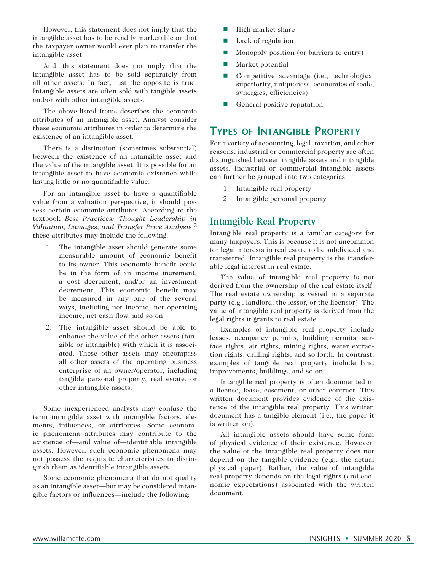However, this statement does not imply that the intangible asset has to be readily marketable or that the taxpayer owner would ever plan to transfer the intangible asset.

And, this statement does not imply that the intangible asset has to be sold separately from all other assets. In fact, just the opposite is true. Intangible assets are often sold with tangible assets and/or with other intangible assets.

The above-listed items describes the economic attributes of an intangible asset. Analyst consider these economic attributes in order to determine the existence of an intangible asset.

There is a distinction (sometimes substantial) between the existence of an intangible asset and the value of the intangible asset. It is possible for an intangible asset to have economic existence while having little or no quantifiable value.

For an intangible asset to have a quantifiable value from a valuation perspective, it should possess certain economic attributes. According to the textbook *Best Practices: Thought Leadership in Valuation, Damages, and Transfer Price Analysis*,2 these attributes may include the following:

- 1. The intangible asset should generate some measurable amount of economic benefit to its owner. This economic benefit could be in the form of an income increment, a cost decrement, and/or an investment decrement. This economic benefit may be measured in any one of the several ways, including net income, net operating income, net cash flow, and so on.
- 2. The intangible asset should be able to enhance the value of the other assets (tangible or intangible) with which it is associated. These other assets may encompass all other assets of the operating business enterprise of an owner/operator, including tangible personal property, real estate, or other intangible assets.

Some inexperienced analysts may confuse the term intangible asset with intangible factors, elements, influences, or attributes. Some economic phenomena attributes may contribute to the existence of—and value of—identifiable intangible assets. However, such economic phenomena may not possess the requisite characteristics to distinguish them as identifiable intangible assets.

Some economic phenomena that do not qualify as an intangible asset—but may be considered intangible factors or influences—include the following:

- $\blacksquare$  High market share
- $\blacksquare$  Lack of regulation
- $\blacksquare$  Monopoly position (or barriers to entry)
- $\blacksquare$  Market potential
- Competitive advantage (i.e., technological superiority, uniqueness, economies of scale, synergies, efficiencies)
- $\blacksquare$  General positive reputation

## **Types of Intangible Property**

For a variety of accounting, legal, taxation, and other reasons, industrial or commercial property are often distinguished between tangible assets and intangible assets. Industrial or commercial intangible assets can further be grouped into two categories:

- 1. Intangible real property
- 2. Intangible personal property

## **Intangible Real Property**

Intangible real property is a familiar category for many taxpayers. This is because it is not uncommon for legal interests in real estate to be subdivided and transferred. Intangible real property is the transferable legal interest in real estate.

The value of intangible real property is not derived from the ownership of the real estate itself. The real estate ownership is vested in a separate party (e.g., landlord, the lessor, or the licensor). The value of intangible real property is derived from the legal rights it grants to real estate.

Examples of intangible real property include leases, occupancy permits, building permits, surface rights, air rights, mining rights, water extraction rights, drilling rights, and so forth. In contrast, examples of tangible real property include land improvements, buildings, and so on.

Intangible real property is often documented in a license, lease, easement, or other contract. This written document provides evidence of the existence of the intangible real property. This written document has a tangible element (i.e., the paper it is written on).

All intangible assets should have some form of physical evidence of their existence. However, the value of the intangible real property does not depend on the tangible evidence (e.g., the actual physical paper). Rather, the value of intangible real property depends on the legal rights (and economic expectations) associated with the written document.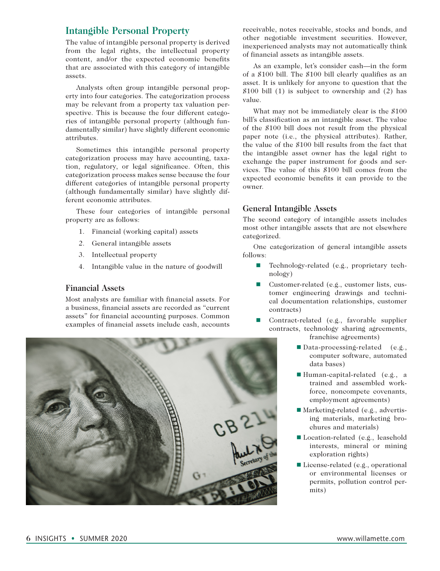## **Intangible Personal Property**

The value of intangible personal property is derived from the legal rights, the intellectual property content, and/or the expected economic benefits that are associated with this category of intangible assets.

Analysts often group intangible personal property into four categories. The categorization process may be relevant from a property tax valuation perspective. This is because the four different categories of intangible personal property (although fundamentally similar) have slightly different economic attributes.

Sometimes this intangible personal property categorization process may have accounting, taxation, regulatory, or legal significance. Often, this categorization process makes sense because the four different categories of intangible personal property (although fundamentally similar) have slightly different economic attributes.

These four categories of intangible personal property are as follows:

- 1. Financial (working capital) assets
- 2. General intangible assets
- 3. Intellectual property
- 4. Intangible value in the nature of goodwill

#### **Financial Assets**

Most analysts are familiar with financial assets. For a business, financial assets are recorded as "current assets" for financial accounting purposes. Common examples of financial assets include cash, accounts



receivable, notes receivable, stocks and bonds, and other negotiable investment securities. However, inexperienced analysts may not automatically think of financial assets as intangible assets.

As an example, let's consider cash—in the form of a \$100 bill. The \$100 bill clearly qualifies as an asset. It is unlikely for anyone to question that the  $$100$  bill (1) is subject to ownership and (2) has value.

What may not be immediately clear is the \$100 bill's classification as an intangible asset. The value of the \$100 bill does not result from the physical paper note (i.e., the physical attributes). Rather, the value of the \$100 bill results from the fact that the intangible asset owner has the legal right to exchange the paper instrument for goods and services. The value of this \$100 bill comes from the expected economic benefits it can provide to the owner.

#### **General Intangible Assets**

The second category of intangible assets includes most other intangible assets that are not elsewhere categorized.

One categorization of general intangible assets follows:

- Technology-related (e.g., proprietary technology)
- $\blacksquare$  Customer-related (e.g., customer lists, customer engineering drawings and technical documentation relationships, customer contracts)
- n Contract-related (e.g., favorable supplier contracts, technology sharing agreements, franchise agreements)
	- $\blacksquare$  Data-processing-related (e.g., computer software, automated data bases)
	- $\blacksquare$  Human-capital-related (e.g., a trained and assembled workforce, noncompete covenants, employment agreements)
	- Marketing-related (e.g., advertising materials, marketing brochures and materials)
	- Location-related (e.g., leasehold interests, mineral or mining exploration rights)
	- $\blacksquare$  License-related (e.g., operational or environmental licenses or permits, pollution control permits)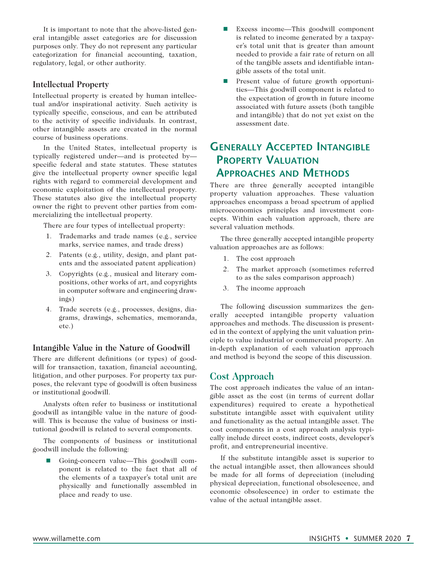It is important to note that the above-listed general intangible asset categories are for discussion purposes only. They do not represent any particular categorization for financial accounting, taxation, regulatory, legal, or other authority.

#### **Intellectual Property**

Intellectual property is created by human intellectual and/or inspirational activity. Such activity is typically specific, conscious, and can be attributed to the activity of specific individuals. In contrast, other intangible assets are created in the normal course of business operations.

In the United States, intellectual property is typically registered under—and is protected by specific federal and state statutes. These statutes give the intellectual property owner specific legal rights with regard to commercial development and economic exploitation of the intellectual property. These statutes also give the intellectual property owner the right to prevent other parties from commercializing the intellectual property.

There are four types of intellectual property:

- 1. Trademarks and trade names (e.g., service marks, service names, and trade dress)
- 2. Patents (e.g., utility, design, and plant patents and the associated patent application)
- 3. Copyrights (e.g., musical and literary compositions, other works of art, and copyrights in computer software and engineering drawings)
- 4. Trade secrets (e.g., processes, designs, diagrams, drawings, schematics, memoranda, etc.)

#### **Intangible Value in the Nature of Goodwill**

There are different definitions (or types) of goodwill for transaction, taxation, financial accounting, litigation, and other purposes. For property tax purposes, the relevant type of goodwill is often business or institutional goodwill.

Analysts often refer to business or institutional goodwill as intangible value in the nature of goodwill. This is because the value of business or institutional goodwill is related to several components.

The components of business or institutional goodwill include the following:

n Going-concern value—This goodwill component is related to the fact that all of the elements of a taxpayer's total unit are physically and functionally assembled in place and ready to use.

- Excess income—This goodwill component is related to income generated by a taxpayer's total unit that is greater than amount needed to provide a fair rate of return on all of the tangible assets and identifiable intangible assets of the total unit.
- **n** Present value of future growth opportunities—This goodwill component is related to the expectation of growth in future income associated with future assets (both tangible and intangible) that do not yet exist on the assessment date.

# **Generally Accepted Intangible Property Valuation Approaches and Methods**

There are three generally accepted intangible property valuation approaches. These valuation approaches encompass a broad spectrum of applied microeconomics principles and investment concepts. Within each valuation approach, there are several valuation methods.

The three generally accepted intangible property valuation approaches are as follows:

- 1. The cost approach
- 2. The market approach (sometimes referred to as the sales comparison approach)
- 3. The income approach

The following discussion summarizes the generally accepted intangible property valuation approaches and methods. The discussion is presented in the context of applying the unit valuation principle to value industrial or commercial property. An in-depth explanation of each valuation approach and method is beyond the scope of this discussion.

## **Cost Approach**

The cost approach indicates the value of an intangible asset as the cost (in terms of current dollar expenditures) required to create a hypothetical substitute intangible asset with equivalent utility and functionality as the actual intangible asset. The cost components in a cost approach analysis typically include direct costs, indirect costs, developer's profit, and entrepreneurial incentive.

If the substitute intangible asset is superior to the actual intangible asset, then allowances should be made for all forms of depreciation (including physical depreciation, functional obsolescence, and economic obsolescence) in order to estimate the value of the actual intangible asset.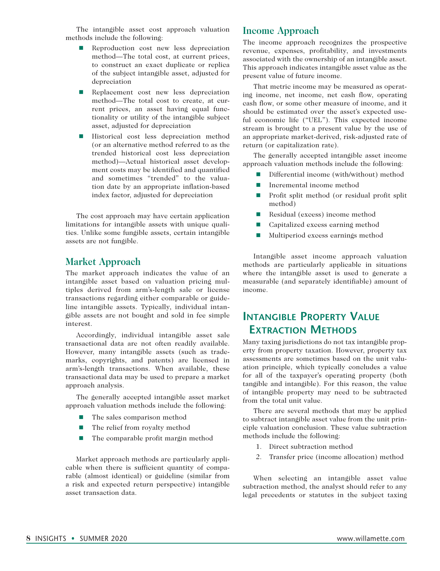The intangible asset cost approach valuation methods include the following:

- **n** Reproduction cost new less depreciation method—The total cost, at current prices, to construct an exact duplicate or replica of the subject intangible asset, adjusted for depreciation
- **n** Replacement cost new less depreciation method—The total cost to create, at current prices, an asset having equal functionality or utility of the intangible subject asset, adjusted for depreciation
- **n** Historical cost less depreciation method (or an alternative method referred to as the trended historical cost less depreciation method)—Actual historical asset development costs may be identified and quantified and sometimes "trended" to the valuation date by an appropriate inflation-based index factor, adjusted for depreciation

The cost approach may have certain application limitations for intangible assets with unique qualities. Unlike some fungible assets, certain intangible assets are not fungible.

## **Market Approach**

The market approach indicates the value of an intangible asset based on valuation pricing multiples derived from arm's-length sale or license transactions regarding either comparable or guideline intangible assets. Typically, individual intangible assets are not bought and sold in fee simple interest.

Accordingly, individual intangible asset sale transactional data are not often readily available. However, many intangible assets (such as trademarks, copyrights, and patents) are licensed in arm's-length transactions. When available, these transactional data may be used to prepare a market approach analysis.

The generally accepted intangible asset market approach valuation methods include the following:

- The sales comparison method
- $\blacksquare$  The relief from royalty method
- The comparable profit margin method

Market approach methods are particularly applicable when there is sufficient quantity of comparable (almost identical) or guideline (similar from a risk and expected return perspective) intangible asset transaction data.

#### **Income Approach**

The income approach recognizes the prospective revenue, expenses, profitability, and investments associated with the ownership of an intangible asset. This approach indicates intangible asset value as the present value of future income.

That metric income may be measured as operating income, net income, net cash flow, operating cash flow, or some other measure of income, and it should be estimated over the asset's expected useful economic life ("UEL"). This expected income stream is brought to a present value by the use of an appropriate market-derived, risk-adjusted rate of return (or capitalization rate).

The generally accepted intangible asset income approach valuation methods include the following:

- $\blacksquare$  Differential income (with/without) method
- $\blacksquare$  Incremental income method
- $\blacksquare$  Profit split method (or residual profit split method)
- $\blacksquare$  Residual (excess) income method
- Capitalized excess earning method
- $\blacksquare$  Multiperiod excess earnings method

Intangible asset income approach valuation methods are particularly applicable in situations where the intangible asset is used to generate a measurable (and separately identifiable) amount of income.

# **Intangible Property Value Extraction Methods**

Many taxing jurisdictions do not tax intangible property from property taxation. However, property tax assessments are sometimes based on the unit valuation principle, which typically concludes a value for all of the taxpayer's operating property (both tangible and intangible). For this reason, the value of intangible property may need to be subtracted from the total unit value.

There are several methods that may be applied to subtract intangible asset value from the unit principle valuation conclusion. These value subtraction methods include the following:

- 1. Direct subtraction method
- 2. Transfer price (income allocation) method

When selecting an intangible asset value subtraction method, the analyst should refer to any legal precedents or statutes in the subject taxing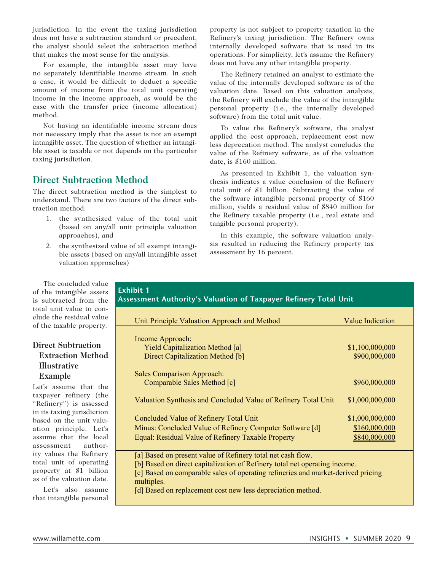jurisdiction. In the event the taxing jurisdiction does not have a subtraction standard or precedent, the analyst should select the subtraction method that makes the most sense for the analysis.

For example, the intangible asset may have no separately identifiable income stream. In such a case, it would be difficult to deduct a specific amount of income from the total unit operating income in the income approach, as would be the case with the transfer price (income allocation) method.

Not having an identifiable income stream does not necessary imply that the asset is not an exempt intangible asset. The question of whether an intangible asset is taxable or not depends on the particular taxing jurisdiction.

## **Direct Subtraction Method**

The direct subtraction method is the simplest to understand. There are two factors of the direct subtraction method:

- 1. the synthesized value of the total unit (based on any/all unit principle valuation approaches), and
- 2. the synthesized value of all exempt intangible assets (based on any/all intangible asset valuation approaches)

property is not subject to property taxation in the Refinery's taxing jurisdiction. The Refinery owns internally developed software that is used in its operations. For simplicity, let's assume the Refinery does not have any other intangible property.

The Refinery retained an analyst to estimate the value of the internally developed software as of the valuation date. Based on this valuation analysis, the Refinery will exclude the value of the intangible personal property (i.e., the internally developed software) from the total unit value.

To value the Refinery's software, the analyst applied the cost approach, replacement cost new less deprecation method. The analyst concludes the value of the Refinery software, as of the valuation date, is \$160 million.

As presented in Exhibit 1, the valuation synthesis indicates a value conclusion of the Refinery total unit of \$1 billion. Subtracting the value of the software intangible personal property of \$160 million, yields a residual value of \$840 million for the Refinery taxable property (i.e., real estate and tangible personal property).

In this example, the software valuation analysis resulted in reducing the Refinery property tax assessment by 16 percent.

The concluded value of the intangible assets is subtracted from the total unit value to conclude the residual value of the taxable property.

### **Direct Subtraction Extraction Method Illustrative Example**

Let's assume that the taxpayer refinery (the "Refinery") is assessed in its taxing jurisdiction based on the unit valuation principle. Let's assume that the local assessment authority values the Refinery total unit of operating property at \$1 billion as of the valuation date.

Let's also assume that intangible personal

#### **Exhibit 1 Assessment Authority's Valuation of Taxpayer Refinery Total Unit**

| Unit Principle Valuation Approach and Method                                     | <b>Value Indication</b> |
|----------------------------------------------------------------------------------|-------------------------|
|                                                                                  |                         |
| Income Approach:                                                                 |                         |
| <b>Yield Capitalization Method [a]</b>                                           | \$1,100,000,000         |
| Direct Capitalization Method [b]                                                 | \$900,000,000           |
|                                                                                  |                         |
| <b>Sales Comparison Approach:</b>                                                |                         |
| Comparable Sales Method [c]                                                      | \$960,000,000           |
|                                                                                  |                         |
| Valuation Synthesis and Concluded Value of Refinery Total Unit                   | \$1,000,000,000         |
|                                                                                  |                         |
| Concluded Value of Refinery Total Unit                                           | \$1,000,000,000         |
| Minus: Concluded Value of Refinery Computer Software [d]                         | \$160,000,000           |
| Equal: Residual Value of Refinery Taxable Property                               | \$840,000,000           |
|                                                                                  |                         |
| [a] Based on present value of Refinery total net cash flow.                      |                         |
| [b] Based on direct capitalization of Refinery total net operating income.       |                         |
| [c] Based on comparable sales of operating refineries and market-derived pricing |                         |
| multiples.                                                                       |                         |

[d] Based on replacement cost new less depreciation method.